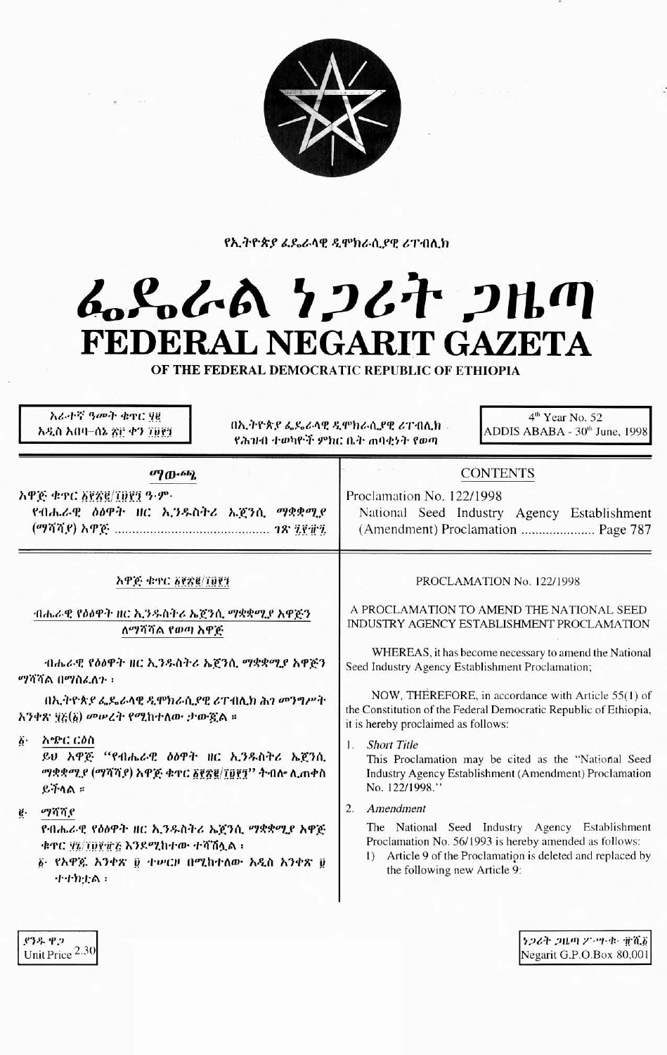

የኢትዮጵያ ፌዴራላዊ ዲሞክራሲያዊ ሪፐብሊክ

# んとんよ ケンムナ コルの FEDERAL NEGARIT GAZETA

OF THE FEDERAL DEMOCRATIC REPUBLIC OF ETHIOPIA

አራተኛ ዓመት ቁዋር ሃይ አዲስ አበባ–ሰኔ ጽሮ ቀን ፲፱፻፺

በኢትዮጵያ ፌዴራላዊ ዲሞክራሲያዊ ሪፐብሊክ -የሕዝብ ተወካዮች ምክር ቤት ጠባቂነት የወጣ

4<sup>th</sup> Year No. 52 ADDIS ABABA - 30th June, 1998

#### ማውጫ

አዋጅ ቁጥር δየጽ፪/፲፱፻፺ ዓ.ም. የብሔራዊ ዕዕዋት ዘር ኢንዱስትሪ ኤጀንሲ ማቋቋሚያ 

### አዋጅ ቁጥር ፩፻፳፪/፲፱፻፺

ብሔራዊ የዕፅዋት ዘር ኢንዱስትሪ ኤጀንሲ ማቋቋሚያ አዋጅን ለማሻሻል የወጣ አዋጅ

ብሔራዊ የዕዕዋት ዘር ኢንዱስትሪ ኤጀንሲ ማቋቋሚያ አዋጅን ማሳሳል በማስፈለጉ ፡

በኢትዮጵያ ፌዴራላዊ ዲሞክራሲያዊ ሪፐብሊክ ሕገ መንግሥት አንቀጽ ፶፩(፩) መሥረት የሚከተለው ታውጇል ።

δ· አሜር ርዕስ

ይህ አዋጅ "የብሔራዊ ዕዕዋት ዘር ኢንዱስትሪ ኤጀንሲ *ማቋቋሚያ (ማሻሻያ) አዋጅ ቁ*ተር ፩፻፳፪/፲፬፻፺'' ትብሎ ሊጠቀስ  $R + \Lambda R$ 

e. mane

የብሔራዊ የዕፅዋት ዘር ኢንዱስትሪ ኤጀንሲ ማቋቋሚያ አዋጅ ቁተር ሃኔ/፲፱፻፹፩ እንደሚከተው ተሻሽሏል።

፩· የአዋጁ አንቀጽ ፬ ተሥርዞ በሚከተለው አዲስ አንቀጽ ፱ ተተክቷል ፡

## Proclamation No. 122/1998

**CONTENTS** 

National Seed Industry Agency Establishment 

#### PROCLAMATION No. 122/1998

A PROCLAMATION TO AMEND THE NATIONAL SEED INDUSTRY AGENCY ESTABLISHMENT PROCLAMATION

WHEREAS, it has become necessary to amend the National Seed Industry Agency Establishment Proclamation;

NOW, THEREFORE, in accordance with Article 55(1) of the Constitution of the Federal Democratic Republic of Ethiopia, it is hereby proclaimed as follows:

1. Short Title

This Proclamation may be cited as the "National Seed Industry Agency Establishment (Amendment) Proclamation No. 122/1998.'

2. Amendment

The National Seed Industry Agency Establishment Proclamation No. 56/1993 is hereby amended as follows:

1) Article 9 of the Proclamation is deleted and replaced by the following new Article 9:

> キンムキ シルの クトツ・セー 電道者 Negarit G.P.O.Box 80,001

ያንዱ ዋጋ Unit Price 2.30